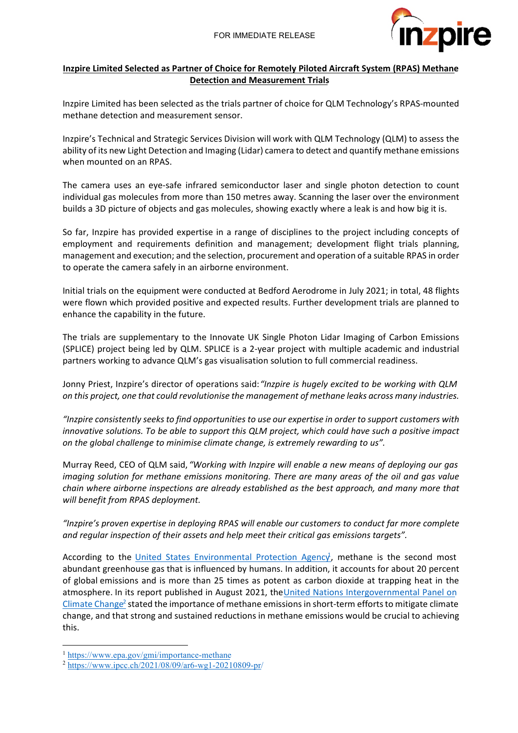

# **Inzpire Limited Selected as Partner of Choice for Remotely Piloted Aircraft System (RPAS) Methane Detection and Measurement Trials**

Inzpire Limited has been selected as the trials partner of choice for QLM Technology's RPAS-mounted methane detection and measurement sensor.

Inzpire's Technical and Strategic Services Division will work with QLM Technology (QLM) to assess the ability of its new Light Detection and Imaging (Lidar) camera to detect and quantify methane emissions when mounted on an RPAS.

The camera uses an eye-safe infrared semiconductor laser and single photon detection to count individual gas molecules from more than 150 metres away. Scanning the laser over the environment builds a 3D picture of objects and gas molecules, showing exactly where a leak is and how big it is.

So far, Inzpire has provided expertise in a range of disciplines to the project including concepts of employment and requirements definition and management; development flight trials planning, management and execution; and the selection, procurement and operation of a suitable RPAS in order to operate the camera safely in an airborne environment.

Initial trials on the equipment were conducted at Bedford Aerodrome in July 2021; in total, 48 flights were flown which provided positive and expected results. Further development trials are planned to enhance the capability in the future.

The trials are supplementary to the Innovate UK Single Photon Lidar Imaging of Carbon Emissions (SPLICE) project being led by QLM. SPLICE is a 2-year project with multiple academic and industrial partners working to advance QLM's gas visualisation solution to full commercial readiness.

Jonny Priest, Inzpire's director of operations said:*"Inzpire is hugely excited to be working with QLM on this project, one that could revolutionise the management of methane leaks across many industries.*

*"Inzpire consistently seeks to find opportunities to use our expertise in order to support customers with innovative solutions. To be able to support this QLM project, which could have such a positive impact on the global challenge to minimise climate change, is extremely rewarding to us".*

Murray Reed, CEO of QLM said, *"Working with Inzpire will enable a new means of deploying our gas imaging solution for methane emissions monitoring. There are many areas of the oil and gas value chain where airborne inspections are already established as the best approach, and many more that will benefit from RPAS deployment.*

*"Inzpire's proven expertise in deploying RPAS will enable our customers to conduct far more complete and regular inspection of their assets and help meet their critical gas emissions targets".*

According to the *United States Environmental Protection Agency*, methane is the second most abundant greenhouse gas that is influenced by humans. In addition, it accounts for about 20 percent of global emissions and is more than 25 times as potent as carbon dioxide at trapping heat in the atmosphere. In its report published in August 2021, theUnited Nations Intergovernmental Panel on Climate Change<sup>2</sup> stated the importance of methane emissions in short-term efforts to mitigate climate change, and that strong and sustained reductions in methane emissions would be crucial to achieving this.

<sup>1</sup> https://www.epa.gov/gmi/importance-methane

<sup>2</sup> https://www.ipcc.ch/2021/08/09/ar6-wg1-20210809-pr/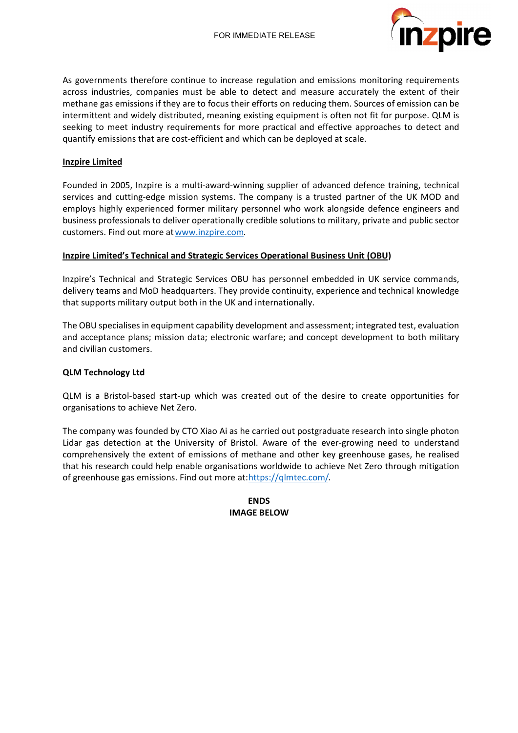

As governments therefore continue to increase regulation and emissions monitoring requirements across industries, companies must be able to detect and measure accurately the extent of their methane gas emissions if they are to focus their efforts on reducing them. Sources of emission can be intermittent and widely distributed, meaning existing equipment is often not fit for purpose. QLM is seeking to meet industry requirements for more practical and effective approaches to detect and quantify emissions that are cost-efficient and which can be deployed at scale.

## **Inzpire Limited**

Founded in 2005, Inzpire is a multi-award-winning supplier of advanced defence training, technical services and cutting-edge mission systems. The company is a trusted partner of the UK MOD and employs highly experienced former military personnel who work alongside defence engineers and business professionals to deliver operationally credible solutions to military, private and public sector customers. Find out more atwww.inzpire.com.

## **Inzpire Limited's Technical and Strategic Services Operational Business Unit (OBU)**

Inzpire's Technical and Strategic Services OBU has personnel embedded in UK service commands, delivery teams and MoD headquarters. They provide continuity, experience and technical knowledge that supports military output both in the UK and internationally.

The OBU specialises in equipment capability development and assessment; integrated test, evaluation and acceptance plans; mission data; electronic warfare; and concept development to both military and civilian customers.

## **QLM Technology Ltd**

QLM is a Bristol-based start-up which was created out of the desire to create opportunities for organisations to achieve Net Zero.

The company was founded by CTO Xiao Ai as he carried out postgraduate research into single photon Lidar gas detection at the University of Bristol. Aware of the ever-growing need to understand comprehensively the extent of emissions of methane and other key greenhouse gases, he realised that his research could help enable organisations worldwide to achieve Net Zero through mitigation of greenhouse gas emissions. Find out more at:https://qlmtec.com/.

> **ENDS IMAGE BELOW**